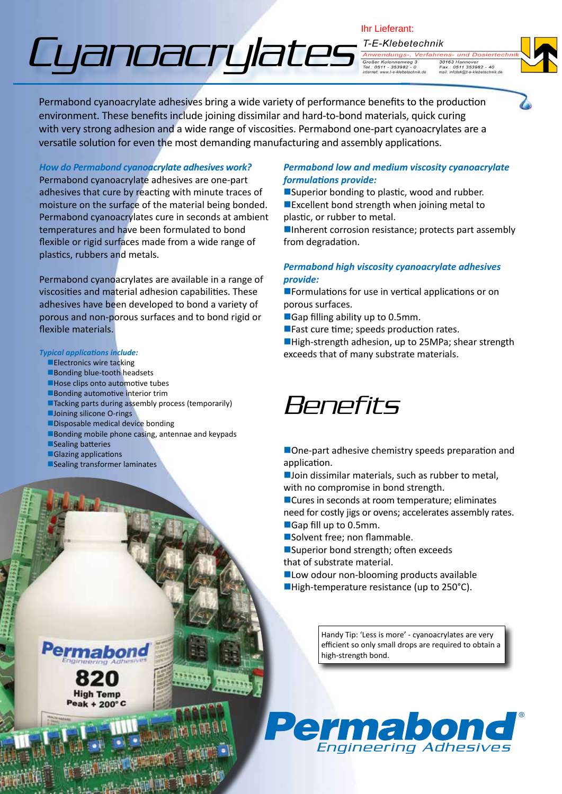# Cyanoacrylates

Ihr Lieferant:T-E-Klebetechnik Anwendungs-, Verfahrens- und Dosier

30163 Hannover<br>Fax.: 0511 353982 - 40<br>mail: infotek@t-e-klebetechnik.de **Großer Kolonnen** Großer Kolonnenweg 3<br>Tel.: 0511 - 353982 - 0



Permabond cyanoacrylate adhesives bring a wide variety of performance benefits to the production environment. These benefits include joining dissimilar and hard-to-bond materials, quick curing with very strong adhesion and a wide range of viscosities. Permabond one-part cyanoacrylates are a versatile solution for even the most demanding manufacturing and assembly applications.

*How do Permabond cyanoacrylate adhesives work?* Permabond cyanoacrylate adhesives are one-part adhesives that cure by reacting with minute traces of moisture on the surface of the material being bonded. Permabond cyanoacrylates cure in seconds at ambient temperatures and have been formulated to bond flexible or rigid surfaces made from a wide range of plastics, rubbers and metals.

Permabond cyanoacrylates are available in a range of viscosities and material adhesion capabilities. These adhesives have been developed to bond a variety of porous and non-porous surfaces and to bond rigid or flexible materials.

#### *Typical applications include:*

- **Electronics wire tacking**
- Bonding blue-tooth headsets
- Hose clips onto automotive tubes
- **Bonding automotive interior trim**
- ■Tacking parts during assembly process (temporarily)
- **Joining silicone O-rings**
- $\blacksquare$ Disposable medical device bonding
- Bonding mobile phone casing, antennae and keypads
- Sealing batteries
- **Glazing applications**
- **nSealing transformer laminates**

#### *Permabond low and medium viscosity cyanoacrylate formulations provide:*

 $\square$ Superior bonding to plastic, wood and rubber.  $\blacksquare$  Excellent bond strength when joining metal to plastic, or rubber to metal.

 $\blacksquare$ Inherent corrosion resistance; protects part assembly from degradation.

#### *Permabond high viscosity cyanoacrylate adhesives provide:*

 $\blacksquare$  Formulations for use in vertical applications or on porous surfaces.

 $\blacksquare$  Gap filling ability up to 0.5mm.

 $\blacksquare$  Fast cure time; speeds production rates.

■High-strength adhesion, up to 25MPa; shear strength exceeds that of many substrate materials.

### Benefits

- $\blacksquare$  One-part adhesive chemistry speeds preparation and application.
- $\blacksquare$  Join dissimilar materials, such as rubber to metal, with no compromise in bond strength.

■Cures in seconds at room temperature; eliminates need for costly jigs or ovens; accelerates assembly rates. ■ Gap fill up to 0.5mm.

Solvent free; non flammable.

- ■Superior bond strength; often exceeds that of substrate material.
- $\blacksquare$  Low odour non-blooming products available
- $\blacksquare$  High-temperature resistance (up to 250°C).

Handy Tip: 'Less is more' - cyanoacrylates are very efficient so only small drops are required to obtain a high-strength bond.





**High Temp**  $Peak + 200^{\circ}$ C